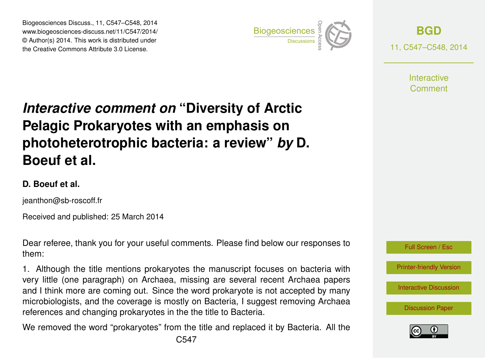Biogeosciences Discuss., 11, C547–C548, 2014 www.biogeosciences-discuss.net/11/C547/2014/ © Author(s) 2014. This work is distributed under Biogeosciences Discuss., 11, C547–C548, 2014<br>www.biogeosciences-discuss.net/11/C547/2014/<br>© Author(s) 2014. This work is distributed under<br>the Creative Commons Attribute 3.0 License.



**[BGD](http://www.biogeosciences-discuss.net)** 11, C547–C548, 2014

> **Interactive** Comment

## *Interactive comment on* **"Diversity of Arctic Pelagic Prokaryotes with an emphasis on photoheterotrophic bacteria: a review"** *by* **D. Boeuf et al.**

## **D. Boeuf et al.**

jeanthon@sb-roscoff.fr

Received and published: 25 March 2014

Dear referee, thank you for your useful comments. Please find below our responses to them:

1. Although the title mentions prokaryotes the manuscript focuses on bacteria with very little (one paragraph) on Archaea, missing are several recent Archaea papers and I think more are coming out. Since the word prokaryote is not accepted by many microbiologists, and the coverage is mostly on Bacteria, I suggest removing Archaea references and changing prokaryotes in the the title to Bacteria.

We removed the word "prokaryotes" from the title and replaced it by Bacteria. All the



[Interactive Discussion](http://www.biogeosciences-discuss.net/11/2419/2014/bgd-11-2419-2014-discussion.html)

[Discussion Paper](http://www.biogeosciences-discuss.net/11/2419/2014/bgd-11-2419-2014.pdf)